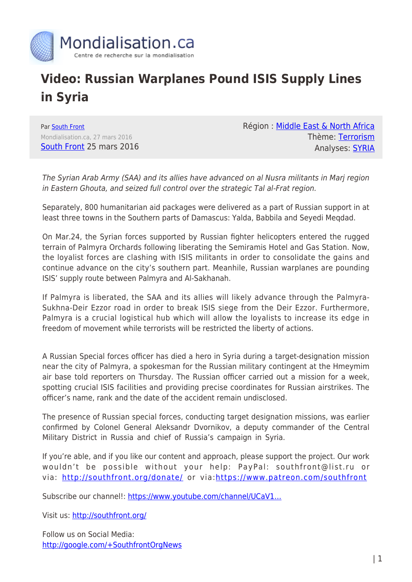

## **Video: Russian Warplanes Pound ISIS Supply Lines in Syria**

Par [South Front](https://www.mondialisation.ca/author/southfront) Mondialisation.ca, 27 mars 2016 [South Front](https://southfront.org/international-military-review-syria-mar-25-2016/) 25 mars 2016 Région : [Middle East & North Africa](https://www.mondialisation.ca/region/middle-east) Thème: [Terrorism](https://www.mondialisation.ca/theme/9-11-war-on-terrorism) Analyses: [SYRIA](https://www.mondialisation.ca/indepthreport/syria-nato-s-next-war)

The Syrian Arab Army (SAA) and its allies have advanced on al Nusra militants in Marj region in Eastern Ghouta, and seized full control over the strategic Tal al-Frat region.

Separately, 800 humanitarian aid packages were delivered as a part of Russian support in at least three towns in the Southern parts of Damascus: Yalda, Babbila and Seyedi Meqdad.

On Mar.24, the Syrian forces supported by Russian fighter helicopters entered the rugged terrain of Palmyra Orchards following liberating the Semiramis Hotel and Gas Station. Now, the loyalist forces are clashing with ISIS militants in order to consolidate the gains and continue advance on the city's southern part. Meanhile, Russian warplanes are pounding ISIS' supply route between Palmyra and Al-Sakhanah.

If Palmyra is liberated, the SAA and its allies will likely advance through the Palmyra-Sukhna-Deir Ezzor road in order to break ISIS siege from the Deir Ezzor. Furthermore, Palmyra is a crucial logistical hub which will allow the loyalists to increase its edge in freedom of movement while terrorists will be restricted the liberty of actions.

A Russian Special forces officer has died a hero in Syria during a target-designation mission near the city of Palmyra, a spokesman for the Russian military contingent at the Hmeymim air base told reporters on Thursday. The Russian officer carried out a mission for a week, spotting crucial ISIS facilities and providing precise coordinates for Russian airstrikes. The officer's name, rank and the date of the accident remain undisclosed.

The presence of Russian special forces, conducting target designation missions, was earlier confirmed by Colonel General Aleksandr Dvornikov, a deputy commander of the Central Military District in Russia and chief of Russia's campaign in Syria.

If you're able, and if you like our content and approach, please support the project. Our work wouldn't be possible without your help: PayPal: southfront@list.ru or via:<http://southfront.org/donate/> or via:<https://www.patreon.com/southfront>

Subscribe our channel!: https://www.youtube.com/channel/UCaV1...

Visit us: <http://southfront.org/>

Follow us on Social Media: <http://google.com/+SouthfrontOrgNews>